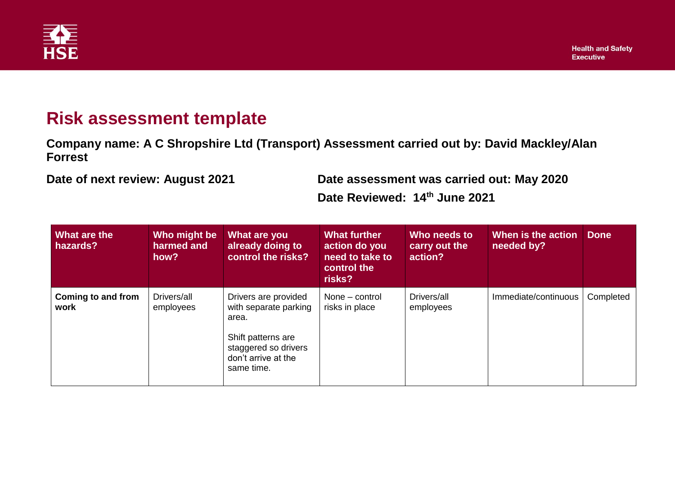

## **Risk assessment template**

**Company name: A C Shropshire Ltd (Transport) Assessment carried out by: David Mackley/Alan Forrest**

**Date of next review: August 2021 Date assessment was carried out: May 2020 Date Reviewed: 14th June 2021**

| <b>What are the</b><br>hazards? | Who might be<br>harmed and<br>how? | What are you<br>already doing to<br>control the risks?                                                                                    | <b>What further</b><br>action do you<br>need to take to<br>control the<br>risks? | Who needs to<br>carry out the<br>action? | When is the action<br>needed by? | <b>Done</b> |
|---------------------------------|------------------------------------|-------------------------------------------------------------------------------------------------------------------------------------------|----------------------------------------------------------------------------------|------------------------------------------|----------------------------------|-------------|
| Coming to and from<br>work      | Drivers/all<br>employees           | Drivers are provided<br>with separate parking<br>area.<br>Shift patterns are<br>staggered so drivers<br>don't arrive at the<br>same time. | None – control<br>risks in place                                                 | Drivers/all<br>employees                 | Immediate/continuous             | Completed   |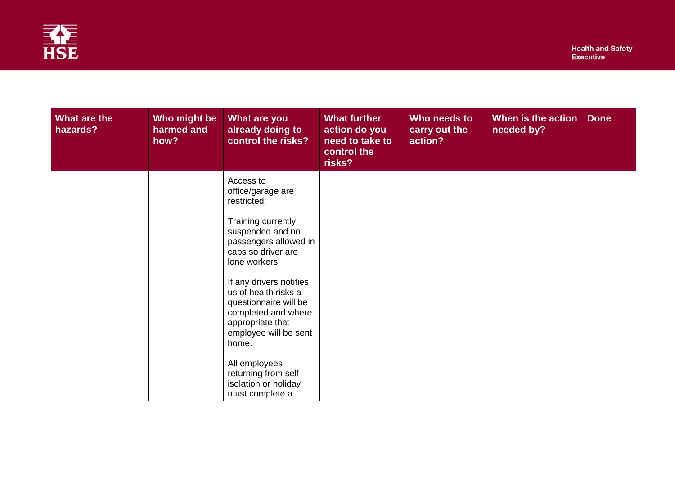

| What are the<br>hazards?<br>how? | Who might be<br>What are you<br>harmed and<br>already doing to                                                                                                                                                                                                         | control the risks?                                                                                                        | <b>What further</b><br>action do you<br>need to take to<br>control the<br>risks? | Who needs to<br>carry out the<br>action? | When is the action<br>needed by? | <b>Done</b> |
|----------------------------------|------------------------------------------------------------------------------------------------------------------------------------------------------------------------------------------------------------------------------------------------------------------------|---------------------------------------------------------------------------------------------------------------------------|----------------------------------------------------------------------------------|------------------------------------------|----------------------------------|-------------|
|                                  | Access to<br>office/garage are<br>restricted.<br>Training currently<br>suspended and no<br>cabs so driver are<br>lone workers<br>us of health risks a<br>appropriate that<br>home.<br>All employees<br>returning from self-<br>isolation or holiday<br>must complete a | passengers allowed in<br>If any drivers notifies<br>questionnaire will be<br>completed and where<br>employee will be sent |                                                                                  |                                          |                                  |             |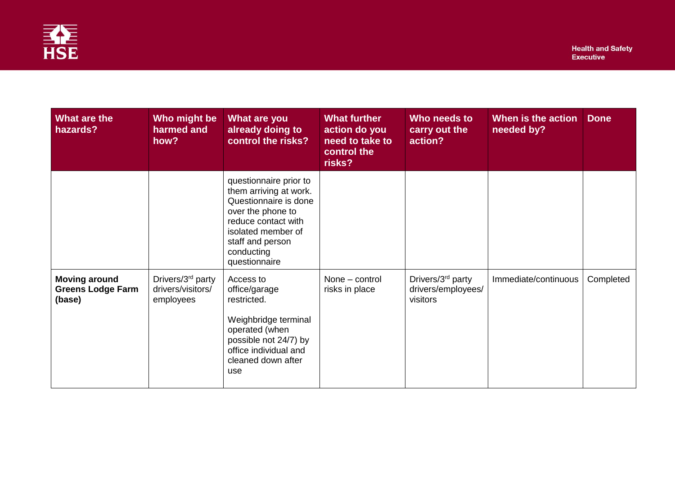

| What are the<br>hazards?                                   | Who might be<br>harmed and<br>how?                              | What are you<br>already doing to<br>control the risks?                                                                                                                                         | <b>What further</b><br>action do you<br>need to take to<br>control the<br>risks? | Who needs to<br>carry out the<br>action?                        | When is the action<br>needed by? | <b>Done</b> |
|------------------------------------------------------------|-----------------------------------------------------------------|------------------------------------------------------------------------------------------------------------------------------------------------------------------------------------------------|----------------------------------------------------------------------------------|-----------------------------------------------------------------|----------------------------------|-------------|
|                                                            |                                                                 | questionnaire prior to<br>them arriving at work.<br>Questionnaire is done<br>over the phone to<br>reduce contact with<br>isolated member of<br>staff and person<br>conducting<br>questionnaire |                                                                                  |                                                                 |                                  |             |
| <b>Moving around</b><br><b>Greens Lodge Farm</b><br>(base) | Drivers/3 <sup>rd</sup> party<br>drivers/visitors/<br>employees | Access to<br>office/garage<br>restricted.<br>Weighbridge terminal<br>operated (when<br>possible not 24/7) by<br>office individual and<br>cleaned down after<br>use                             | None - control<br>risks in place                                                 | Drivers/3 <sup>rd</sup> party<br>drivers/employees/<br>visitors | Immediate/continuous             | Completed   |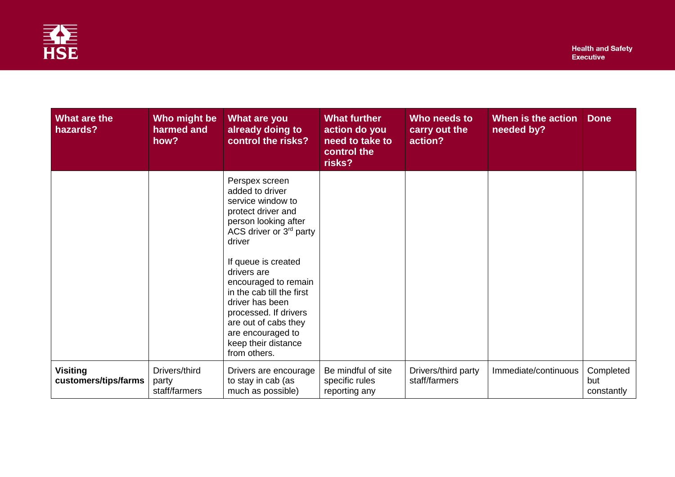

| What are the<br>hazards?                | Who might be<br>harmed and<br>how?      | What are you<br>already doing to<br>control the risks?                                                                                                                                                                                                                                                                                                               | <b>What further</b><br>action do you<br>need to take to<br>control the<br>risks? | Who needs to<br>carry out the<br>action? | When is the action<br>needed by? | <b>Done</b>                    |
|-----------------------------------------|-----------------------------------------|----------------------------------------------------------------------------------------------------------------------------------------------------------------------------------------------------------------------------------------------------------------------------------------------------------------------------------------------------------------------|----------------------------------------------------------------------------------|------------------------------------------|----------------------------------|--------------------------------|
|                                         |                                         | Perspex screen<br>added to driver<br>service window to<br>protect driver and<br>person looking after<br>ACS driver or 3rd party<br>driver<br>If queue is created<br>drivers are<br>encouraged to remain<br>in the cab till the first<br>driver has been<br>processed. If drivers<br>are out of cabs they<br>are encouraged to<br>keep their distance<br>from others. |                                                                                  |                                          |                                  |                                |
| <b>Visiting</b><br>customers/tips/farms | Drivers/third<br>party<br>staff/farmers | Drivers are encourage<br>to stay in cab (as<br>much as possible)                                                                                                                                                                                                                                                                                                     | Be mindful of site<br>specific rules<br>reporting any                            | Drivers/third party<br>staff/farmers     | Immediate/continuous             | Completed<br>but<br>constantly |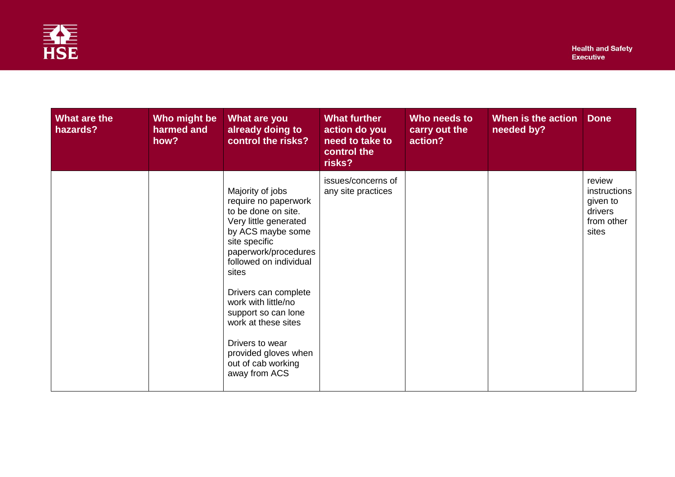

| What are the<br>hazards? | Who might be<br>harmed and<br>how? | What are you<br>already doing to<br>control the risks?                                                                                                                                                                                                                                                                                                                   | <b>What further</b><br>action do you<br>need to take to<br>control the<br>risks? | Who needs to<br>carry out the<br>action? | When is the action<br>needed by? | <b>Done</b>                                                          |
|--------------------------|------------------------------------|--------------------------------------------------------------------------------------------------------------------------------------------------------------------------------------------------------------------------------------------------------------------------------------------------------------------------------------------------------------------------|----------------------------------------------------------------------------------|------------------------------------------|----------------------------------|----------------------------------------------------------------------|
|                          |                                    | Majority of jobs<br>require no paperwork<br>to be done on site.<br>Very little generated<br>by ACS maybe some<br>site specific<br>paperwork/procedures<br>followed on individual<br>sites<br>Drivers can complete<br>work with little/no<br>support so can lone<br>work at these sites<br>Drivers to wear<br>provided gloves when<br>out of cab working<br>away from ACS | issues/concerns of<br>any site practices                                         |                                          |                                  | review<br>instructions<br>given to<br>drivers<br>from other<br>sites |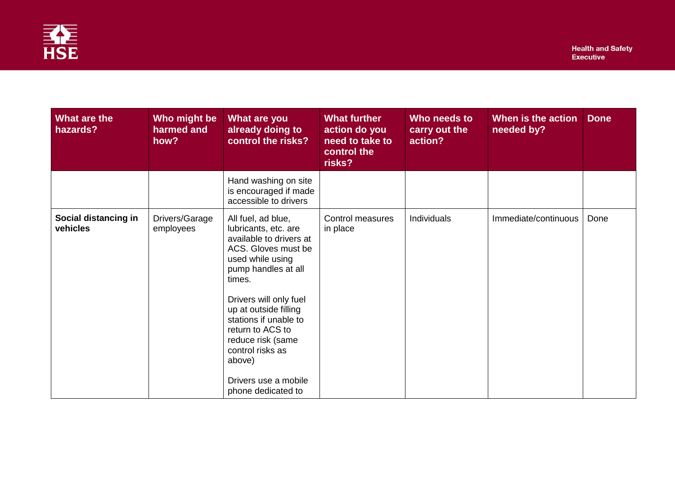

| What are the<br>hazards?         | Who might be<br>harmed and<br>how? | What are you<br>already doing to<br>control the risks?                                                                                                                                                                                                                                               | <b>What further</b><br>action do you<br>need to take to<br>control the<br>risks? | Who needs to<br>carry out the<br>action? | When is the action<br>needed by? | <b>Done</b> |
|----------------------------------|------------------------------------|------------------------------------------------------------------------------------------------------------------------------------------------------------------------------------------------------------------------------------------------------------------------------------------------------|----------------------------------------------------------------------------------|------------------------------------------|----------------------------------|-------------|
|                                  |                                    | Hand washing on site<br>is encouraged if made<br>accessible to drivers                                                                                                                                                                                                                               |                                                                                  |                                          |                                  |             |
| Social distancing in<br>vehicles | Drivers/Garage<br>employees        | All fuel, ad blue,<br>lubricants, etc. are<br>available to drivers at<br>ACS. Gloves must be<br>used while using<br>pump handles at all<br>times.<br>Drivers will only fuel<br>up at outside filling<br>stations if unable to<br>return to ACS to<br>reduce risk (same<br>control risks as<br>above) | <b>Control measures</b><br>in place                                              | Individuals                              | Immediate/continuous             | Done        |
|                                  |                                    | Drivers use a mobile<br>phone dedicated to                                                                                                                                                                                                                                                           |                                                                                  |                                          |                                  |             |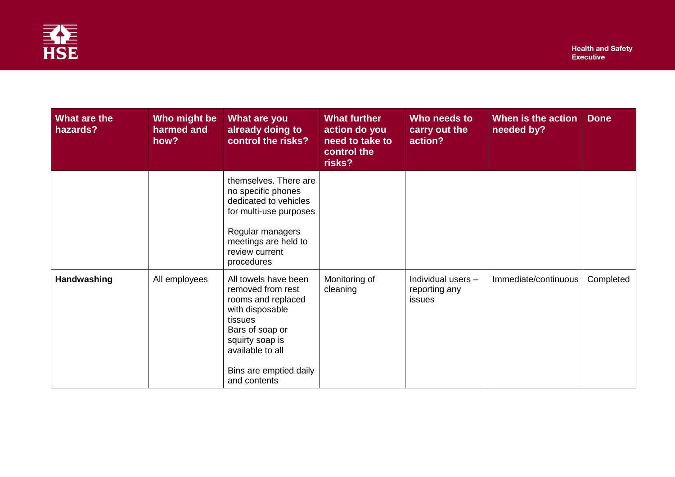

| What are the<br>hazards? | Who might be<br>harmed and<br>how? | What are you<br>already doing to<br>control the risks?                                                                                                                                            | <b>What further</b><br>action do you<br>need to take to<br>control the<br>risks? | Who needs to<br>carry out the<br>action?      | When is the action<br>needed by? | <b>Done</b> |
|--------------------------|------------------------------------|---------------------------------------------------------------------------------------------------------------------------------------------------------------------------------------------------|----------------------------------------------------------------------------------|-----------------------------------------------|----------------------------------|-------------|
|                          |                                    | themselves. There are<br>no specific phones<br>dedicated to vehicles<br>for multi-use purposes<br>Regular managers<br>meetings are held to<br>review current<br>procedures                        |                                                                                  |                                               |                                  |             |
| Handwashing              | All employees                      | All towels have been<br>removed from rest<br>rooms and replaced<br>with disposable<br>tissues<br>Bars of soap or<br>squirty soap is<br>available to all<br>Bins are emptied daily<br>and contents | Monitoring of<br>cleaning                                                        | Individual users -<br>reporting any<br>issues | Immediate/continuous             | Completed   |